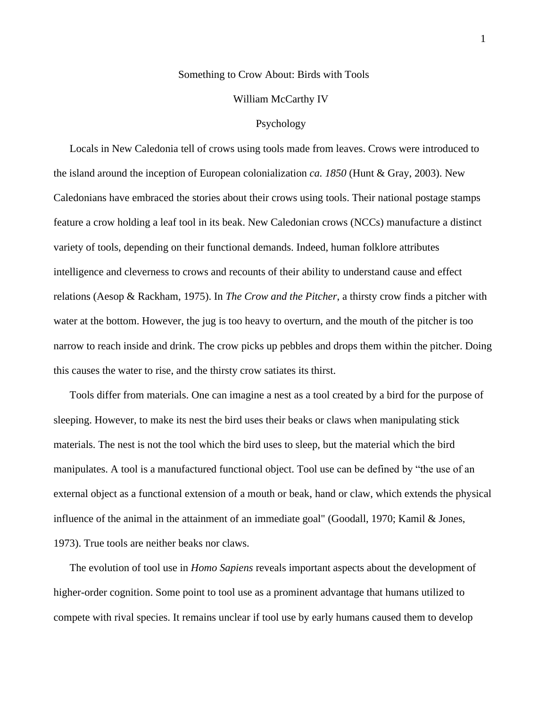# Something to Crow About: Birds with Tools

#### William McCarthy IV

# Psychology

Locals in New Caledonia tell of crows using tools made from leaves. Crows were introduced to the island around the inception of European colonialization *ca. 1850* (Hunt & Gray, 2003). New Caledonians have embraced the stories about their crows using tools. Their national postage stamps feature a crow holding a leaf tool in its beak. New Caledonian crows (NCCs) manufacture a distinct variety of tools, depending on their functional demands. Indeed, human folklore attributes intelligence and cleverness to crows and recounts of their ability to understand cause and effect relations (Aesop & Rackham, 1975). In *The Crow and the Pitcher*, a thirsty crow finds a pitcher with water at the bottom. However, the jug is too heavy to overturn, and the mouth of the pitcher is too narrow to reach inside and drink. The crow picks up pebbles and drops them within the pitcher. Doing this causes the water to rise, and the thirsty crow satiates its thirst.

Tools differ from materials. One can imagine a nest as a tool created by a bird for the purpose of sleeping. However, to make its nest the bird uses their beaks or claws when manipulating stick materials. The nest is not the tool which the bird uses to sleep, but the material which the bird manipulates. A tool is a manufactured functional object. Tool use can be defined by "the use of an external object as a functional extension of a mouth or beak, hand or claw, which extends the physical influence of the animal in the attainment of an immediate goal" (Goodall, 1970; Kamil & Jones, 1973). True tools are neither beaks nor claws.

The evolution of tool use in *Homo Sapiens* reveals important aspects about the development of higher-order cognition. Some point to tool use as a prominent advantage that humans utilized to compete with rival species. It remains unclear if tool use by early humans caused them to develop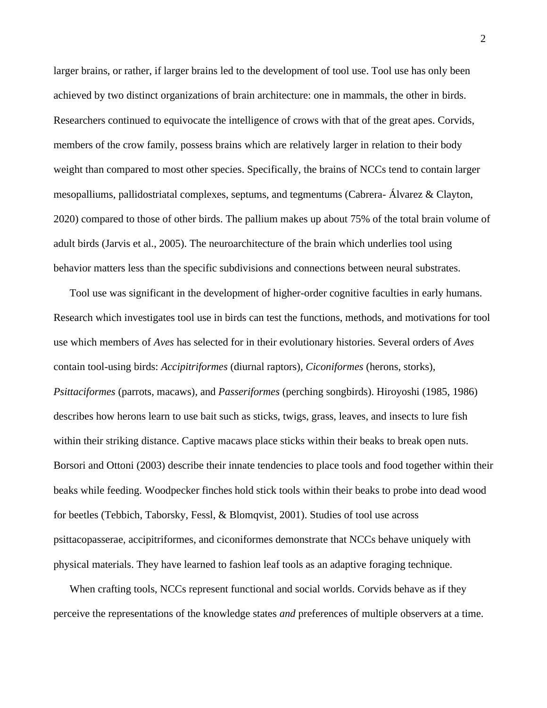larger brains, or rather, if larger brains led to the development of tool use. Tool use has only been achieved by two distinct organizations of brain architecture: one in mammals, the other in birds. Researchers continued to equivocate the intelligence of crows with that of the great apes. Corvids, members of the crow family, possess brains which are relatively larger in relation to their body weight than compared to most other species. Specifically, the brains of NCCs tend to contain larger mesopalliums, pallidostriatal complexes, septums, and tegmentums (Cabrera- Álvarez & Clayton, 2020) compared to those of other birds. The pallium makes up about 75% of the total brain volume of adult birds (Jarvis et al., 2005). The neuroarchitecture of the brain which underlies tool using behavior matters less than the specific subdivisions and connections between neural substrates.

Tool use was significant in the development of higher-order cognitive faculties in early humans. Research which investigates tool use in birds can test the functions, methods, and motivations for tool use which members of *Aves* has selected for in their evolutionary histories. Several orders of *Aves*  contain tool-using birds: *Accipitriformes* (diurnal raptors)*, Ciconiformes* (herons, storks)*, Psittaciformes* (parrots, macaws)*,* and *Passeriformes* (perching songbirds). Hiroyoshi (1985, 1986) describes how herons learn to use bait such as sticks, twigs, grass, leaves, and insects to lure fish within their striking distance. Captive macaws place sticks within their beaks to break open nuts. Borsori and Ottoni (2003) describe their innate tendencies to place tools and food together within their beaks while feeding. Woodpecker finches hold stick tools within their beaks to probe into dead wood for beetles (Tebbich, Taborsky, Fessl, & Blomqvist, 2001). Studies of tool use across psittacopasserae, accipitriformes, and ciconiformes demonstrate that NCCs behave uniquely with physical materials. They have learned to fashion leaf tools as an adaptive foraging technique.

When crafting tools, NCCs represent functional and social worlds. Corvids behave as if they perceive the representations of the knowledge states *and* preferences of multiple observers at a time.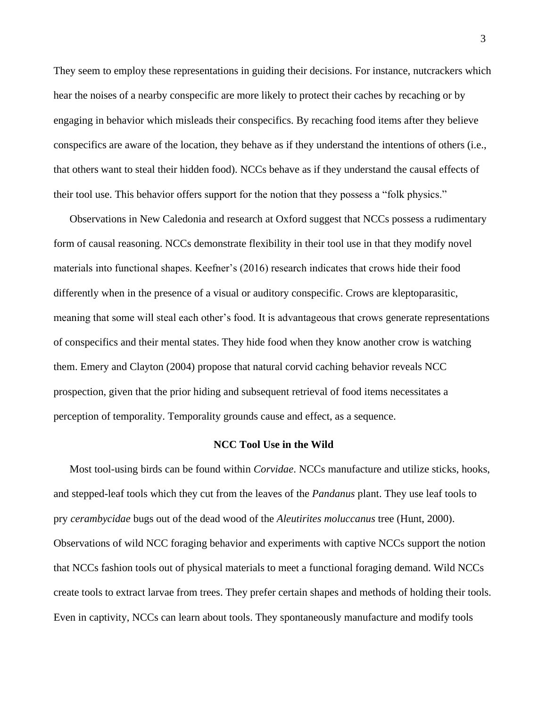They seem to employ these representations in guiding their decisions. For instance, nutcrackers which hear the noises of a nearby conspecific are more likely to protect their caches by recaching or by engaging in behavior which misleads their conspecifics. By recaching food items after they believe conspecifics are aware of the location, they behave as if they understand the intentions of others (i.e., that others want to steal their hidden food). NCCs behave as if they understand the causal effects of their tool use. This behavior offers support for the notion that they possess a "folk physics."

Observations in New Caledonia and research at Oxford suggest that NCCs possess a rudimentary form of causal reasoning. NCCs demonstrate flexibility in their tool use in that they modify novel materials into functional shapes. Keefner's (2016) research indicates that crows hide their food differently when in the presence of a visual or auditory conspecific. Crows are kleptoparasitic, meaning that some will steal each other's food. It is advantageous that crows generate representations of conspecifics and their mental states. They hide food when they know another crow is watching them. Emery and Clayton (2004) propose that natural corvid caching behavior reveals NCC prospection, given that the prior hiding and subsequent retrieval of food items necessitates a perception of temporality. Temporality grounds cause and effect, as a sequence.

### **NCC Tool Use in the Wild**

Most tool-using birds can be found within *Corvidae*. NCCs manufacture and utilize sticks, hooks, and stepped-leaf tools which they cut from the leaves of the *Pandanus* plant. They use leaf tools to pry *cerambycidae* bugs out of the dead wood of the *Aleutirites moluccanus* tree (Hunt, 2000). Observations of wild NCC foraging behavior and experiments with captive NCCs support the notion that NCCs fashion tools out of physical materials to meet a functional foraging demand. Wild NCCs create tools to extract larvae from trees. They prefer certain shapes and methods of holding their tools. Even in captivity, NCCs can learn about tools. They spontaneously manufacture and modify tools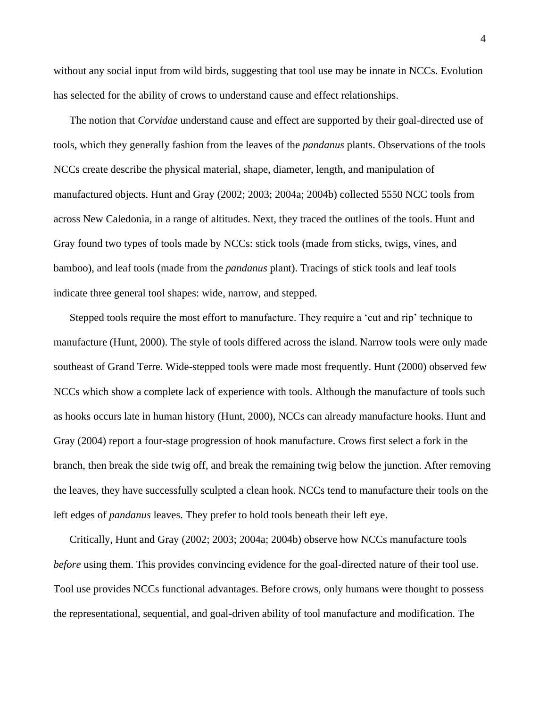without any social input from wild birds, suggesting that tool use may be innate in NCCs. Evolution has selected for the ability of crows to understand cause and effect relationships.

The notion that *Corvidae* understand cause and effect are supported by their goal-directed use of tools, which they generally fashion from the leaves of the *pandanus* plants. Observations of the tools NCCs create describe the physical material, shape, diameter, length, and manipulation of manufactured objects. Hunt and Gray (2002; 2003; 2004a; 2004b) collected 5550 NCC tools from across New Caledonia, in a range of altitudes. Next, they traced the outlines of the tools. Hunt and Gray found two types of tools made by NCCs: stick tools (made from sticks, twigs, vines, and bamboo), and leaf tools (made from the *pandanus* plant). Tracings of stick tools and leaf tools indicate three general tool shapes: wide, narrow, and stepped.

Stepped tools require the most effort to manufacture. They require a 'cut and rip' technique to manufacture (Hunt, 2000). The style of tools differed across the island. Narrow tools were only made southeast of Grand Terre. Wide-stepped tools were made most frequently. Hunt (2000) observed few NCCs which show a complete lack of experience with tools. Although the manufacture of tools such as hooks occurs late in human history (Hunt, 2000), NCCs can already manufacture hooks. Hunt and Gray (2004) report a four-stage progression of hook manufacture. Crows first select a fork in the branch, then break the side twig off, and break the remaining twig below the junction. After removing the leaves, they have successfully sculpted a clean hook. NCCs tend to manufacture their tools on the left edges of *pandanus* leaves. They prefer to hold tools beneath their left eye.

Critically, Hunt and Gray (2002; 2003; 2004a; 2004b) observe how NCCs manufacture tools *before* using them. This provides convincing evidence for the goal-directed nature of their tool use. Tool use provides NCCs functional advantages. Before crows, only humans were thought to possess the representational, sequential, and goal-driven ability of tool manufacture and modification. The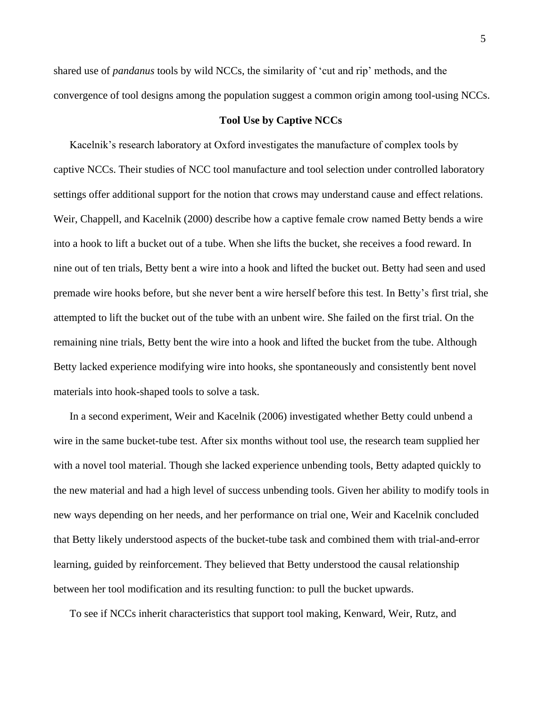shared use of *pandanus* tools by wild NCCs, the similarity of 'cut and rip' methods, and the convergence of tool designs among the population suggest a common origin among tool-using NCCs.

#### **Tool Use by Captive NCCs**

Kacelnik's research laboratory at Oxford investigates the manufacture of complex tools by captive NCCs. Their studies of NCC tool manufacture and tool selection under controlled laboratory settings offer additional support for the notion that crows may understand cause and effect relations. Weir, Chappell, and Kacelnik (2000) describe how a captive female crow named Betty bends a wire into a hook to lift a bucket out of a tube. When she lifts the bucket, she receives a food reward. In nine out of ten trials, Betty bent a wire into a hook and lifted the bucket out. Betty had seen and used premade wire hooks before, but she never bent a wire herself before this test. In Betty's first trial, she attempted to lift the bucket out of the tube with an unbent wire. She failed on the first trial. On the remaining nine trials, Betty bent the wire into a hook and lifted the bucket from the tube. Although Betty lacked experience modifying wire into hooks, she spontaneously and consistently bent novel materials into hook-shaped tools to solve a task.

In a second experiment, Weir and Kacelnik (2006) investigated whether Betty could unbend a wire in the same bucket-tube test. After six months without tool use, the research team supplied her with a novel tool material. Though she lacked experience unbending tools, Betty adapted quickly to the new material and had a high level of success unbending tools. Given her ability to modify tools in new ways depending on her needs, and her performance on trial one, Weir and Kacelnik concluded that Betty likely understood aspects of the bucket-tube task and combined them with trial-and-error learning, guided by reinforcement. They believed that Betty understood the causal relationship between her tool modification and its resulting function: to pull the bucket upwards.

To see if NCCs inherit characteristics that support tool making, Kenward, Weir, Rutz, and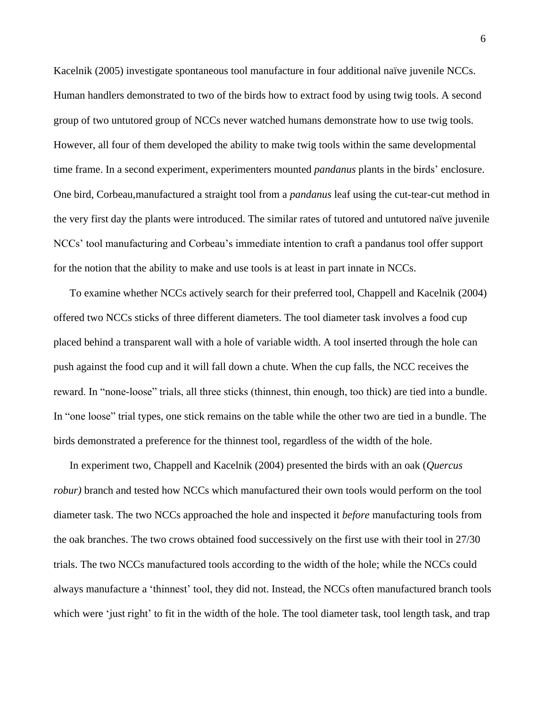Kacelnik (2005) investigate spontaneous tool manufacture in four additional naïve juvenile NCCs. Human handlers demonstrated to two of the birds how to extract food by using twig tools. A second group of two untutored group of NCCs never watched humans demonstrate how to use twig tools. However, all four of them developed the ability to make twig tools within the same developmental time frame. In a second experiment, experimenters mounted *pandanus* plants in the birds' enclosure. One bird, Corbeau,manufactured a straight tool from a *pandanus* leaf using the cut-tear-cut method in the very first day the plants were introduced. The similar rates of tutored and untutored naïve juvenile NCCs' tool manufacturing and Corbeau's immediate intention to craft a pandanus tool offer support for the notion that the ability to make and use tools is at least in part innate in NCCs.

To examine whether NCCs actively search for their preferred tool, Chappell and Kacelnik (2004) offered two NCCs sticks of three different diameters. The tool diameter task involves a food cup placed behind a transparent wall with a hole of variable width. A tool inserted through the hole can push against the food cup and it will fall down a chute. When the cup falls, the NCC receives the reward. In "none-loose" trials, all three sticks (thinnest, thin enough, too thick) are tied into a bundle. In "one loose" trial types, one stick remains on the table while the other two are tied in a bundle. The birds demonstrated a preference for the thinnest tool, regardless of the width of the hole.

In experiment two, Chappell and Kacelnik (2004) presented the birds with an oak (*Quercus robur*) branch and tested how NCCs which manufactured their own tools would perform on the tool diameter task. The two NCCs approached the hole and inspected it *before* manufacturing tools from the oak branches. The two crows obtained food successively on the first use with their tool in 27/30 trials. The two NCCs manufactured tools according to the width of the hole; while the NCCs could always manufacture a 'thinnest' tool, they did not. Instead, the NCCs often manufactured branch tools which were 'just right' to fit in the width of the hole. The tool diameter task, tool length task, and trap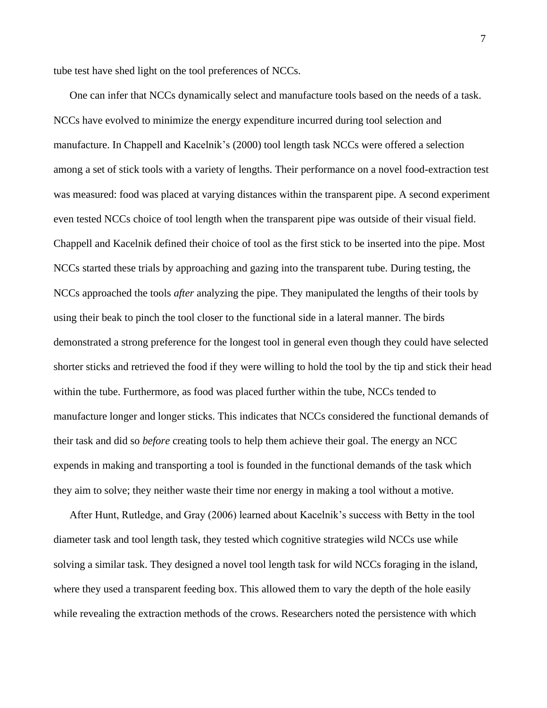tube test have shed light on the tool preferences of NCCs.

One can infer that NCCs dynamically select and manufacture tools based on the needs of a task. NCCs have evolved to minimize the energy expenditure incurred during tool selection and manufacture. In Chappell and Kacelnik's (2000) tool length task NCCs were offered a selection among a set of stick tools with a variety of lengths. Their performance on a novel food-extraction test was measured: food was placed at varying distances within the transparent pipe. A second experiment even tested NCCs choice of tool length when the transparent pipe was outside of their visual field. Chappell and Kacelnik defined their choice of tool as the first stick to be inserted into the pipe. Most NCCs started these trials by approaching and gazing into the transparent tube. During testing, the NCCs approached the tools *after* analyzing the pipe. They manipulated the lengths of their tools by using their beak to pinch the tool closer to the functional side in a lateral manner. The birds demonstrated a strong preference for the longest tool in general even though they could have selected shorter sticks and retrieved the food if they were willing to hold the tool by the tip and stick their head within the tube. Furthermore, as food was placed further within the tube, NCCs tended to manufacture longer and longer sticks. This indicates that NCCs considered the functional demands of their task and did so *before* creating tools to help them achieve their goal. The energy an NCC expends in making and transporting a tool is founded in the functional demands of the task which they aim to solve; they neither waste their time nor energy in making a tool without a motive.

After Hunt, Rutledge, and Gray (2006) learned about Kacelnik's success with Betty in the tool diameter task and tool length task, they tested which cognitive strategies wild NCCs use while solving a similar task. They designed a novel tool length task for wild NCCs foraging in the island, where they used a transparent feeding box. This allowed them to vary the depth of the hole easily while revealing the extraction methods of the crows. Researchers noted the persistence with which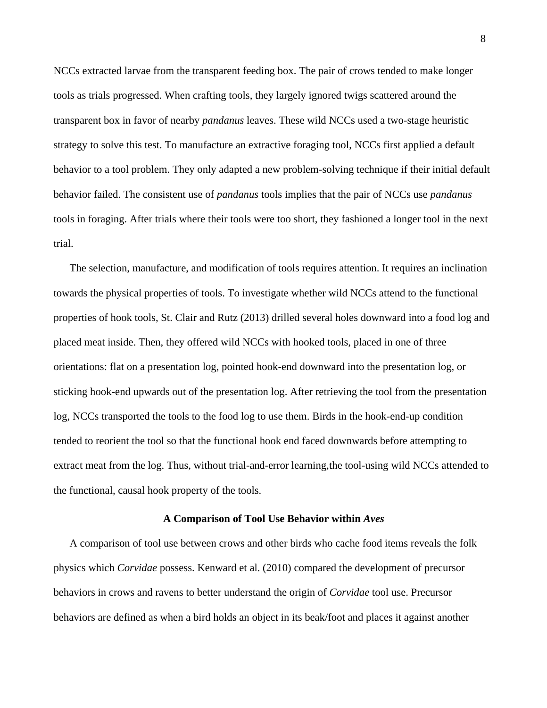NCCs extracted larvae from the transparent feeding box. The pair of crows tended to make longer tools as trials progressed. When crafting tools, they largely ignored twigs scattered around the transparent box in favor of nearby *pandanus* leaves. These wild NCCs used a two-stage heuristic strategy to solve this test. To manufacture an extractive foraging tool, NCCs first applied a default behavior to a tool problem. They only adapted a new problem-solving technique if their initial default behavior failed. The consistent use of *pandanus* tools implies that the pair of NCCs use *pandanus*  tools in foraging. After trials where their tools were too short, they fashioned a longer tool in the next trial.

The selection, manufacture, and modification of tools requires attention. It requires an inclination towards the physical properties of tools. To investigate whether wild NCCs attend to the functional properties of hook tools, St. Clair and Rutz (2013) drilled several holes downward into a food log and placed meat inside. Then, they offered wild NCCs with hooked tools, placed in one of three orientations: flat on a presentation log, pointed hook-end downward into the presentation log, or sticking hook-end upwards out of the presentation log. After retrieving the tool from the presentation log, NCCs transported the tools to the food log to use them. Birds in the hook-end-up condition tended to reorient the tool so that the functional hook end faced downwards before attempting to extract meat from the log. Thus, without trial-and-error learning,the tool-using wild NCCs attended to the functional, causal hook property of the tools.

# **A Comparison of Tool Use Behavior within** *Aves*

A comparison of tool use between crows and other birds who cache food items reveals the folk physics which *Corvidae* possess. Kenward et al. (2010) compared the development of precursor behaviors in crows and ravens to better understand the origin of *Corvidae* tool use. Precursor behaviors are defined as when a bird holds an object in its beak/foot and places it against another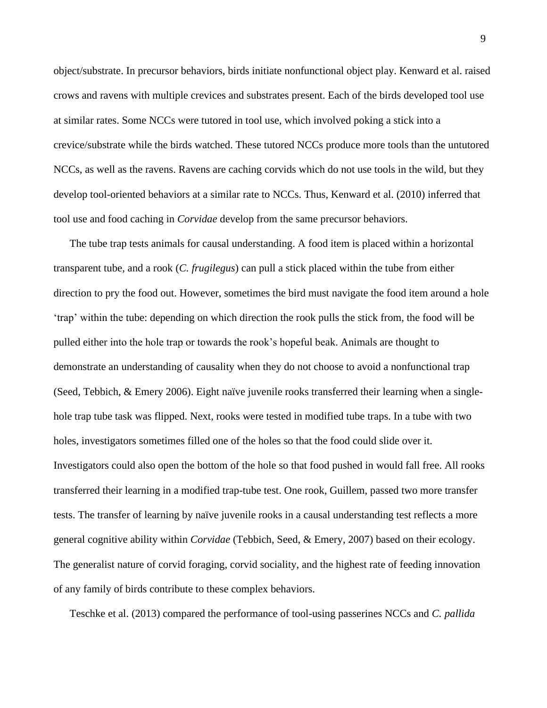object/substrate. In precursor behaviors, birds initiate nonfunctional object play. Kenward et al. raised crows and ravens with multiple crevices and substrates present. Each of the birds developed tool use at similar rates. Some NCCs were tutored in tool use, which involved poking a stick into a crevice/substrate while the birds watched. These tutored NCCs produce more tools than the untutored NCCs, as well as the ravens. Ravens are caching corvids which do not use tools in the wild, but they develop tool-oriented behaviors at a similar rate to NCCs. Thus, Kenward et al. (2010) inferred that tool use and food caching in *Corvidae* develop from the same precursor behaviors.

The tube trap tests animals for causal understanding. A food item is placed within a horizontal transparent tube, and a rook (*C. frugilegus*) can pull a stick placed within the tube from either direction to pry the food out. However, sometimes the bird must navigate the food item around a hole 'trap' within the tube: depending on which direction the rook pulls the stick from, the food will be pulled either into the hole trap or towards the rook's hopeful beak. Animals are thought to demonstrate an understanding of causality when they do not choose to avoid a nonfunctional trap (Seed, Tebbich, & Emery 2006). Eight naïve juvenile rooks transferred their learning when a singlehole trap tube task was flipped. Next, rooks were tested in modified tube traps. In a tube with two holes, investigators sometimes filled one of the holes so that the food could slide over it. Investigators could also open the bottom of the hole so that food pushed in would fall free. All rooks transferred their learning in a modified trap-tube test. One rook, Guillem, passed two more transfer tests. The transfer of learning by naïve juvenile rooks in a causal understanding test reflects a more general cognitive ability within *Corvidae* (Tebbich, Seed, & Emery, 2007) based on their ecology. The generalist nature of corvid foraging, corvid sociality, and the highest rate of feeding innovation of any family of birds contribute to these complex behaviors.

Teschke et al. (2013) compared the performance of tool-using passerines NCCs and *C. pallida*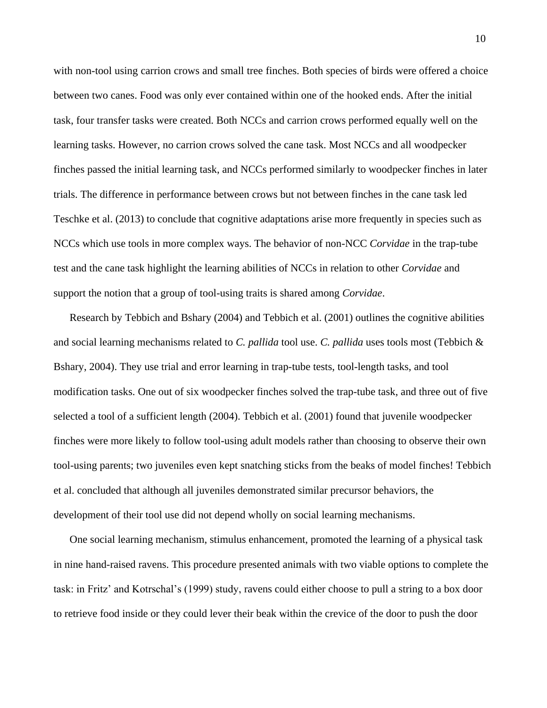with non-tool using carrion crows and small tree finches. Both species of birds were offered a choice between two canes. Food was only ever contained within one of the hooked ends. After the initial task, four transfer tasks were created. Both NCCs and carrion crows performed equally well on the learning tasks. However, no carrion crows solved the cane task. Most NCCs and all woodpecker finches passed the initial learning task, and NCCs performed similarly to woodpecker finches in later trials. The difference in performance between crows but not between finches in the cane task led Teschke et al. (2013) to conclude that cognitive adaptations arise more frequently in species such as NCCs which use tools in more complex ways. The behavior of non-NCC *Corvidae* in the trap-tube test and the cane task highlight the learning abilities of NCCs in relation to other *Corvidae* and support the notion that a group of tool-using traits is shared among *Corvidae*.

Research by Tebbich and Bshary (2004) and Tebbich et al. (2001) outlines the cognitive abilities and social learning mechanisms related to *C. pallida* tool use. *C. pallida* uses tools most (Tebbich & Bshary, 2004). They use trial and error learning in trap-tube tests, tool-length tasks, and tool modification tasks. One out of six woodpecker finches solved the trap-tube task, and three out of five selected a tool of a sufficient length (2004). Tebbich et al. (2001) found that juvenile woodpecker finches were more likely to follow tool-using adult models rather than choosing to observe their own tool-using parents; two juveniles even kept snatching sticks from the beaks of model finches! Tebbich et al. concluded that although all juveniles demonstrated similar precursor behaviors, the development of their tool use did not depend wholly on social learning mechanisms.

One social learning mechanism, stimulus enhancement, promoted the learning of a physical task in nine hand-raised ravens. This procedure presented animals with two viable options to complete the task: in Fritz' and Kotrschal's (1999) study, ravens could either choose to pull a string to a box door to retrieve food inside or they could lever their beak within the crevice of the door to push the door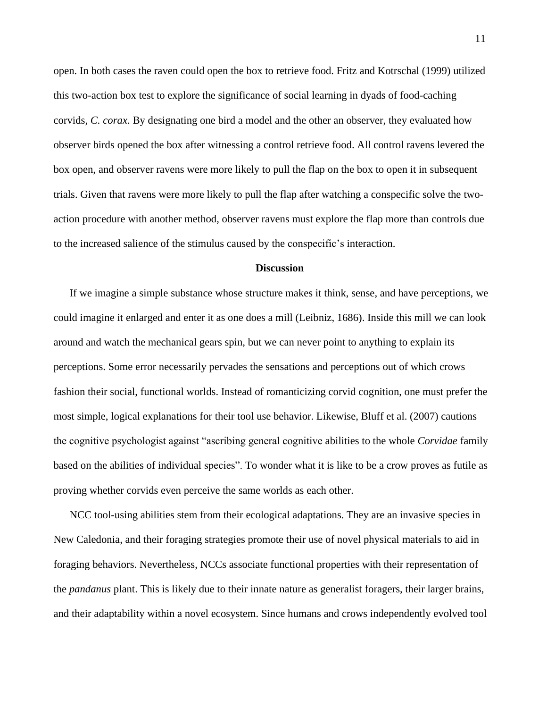open. In both cases the raven could open the box to retrieve food. Fritz and Kotrschal (1999) utilized this two-action box test to explore the significance of social learning in dyads of food-caching corvids, *C. corax*. By designating one bird a model and the other an observer, they evaluated how observer birds opened the box after witnessing a control retrieve food. All control ravens levered the box open, and observer ravens were more likely to pull the flap on the box to open it in subsequent trials. Given that ravens were more likely to pull the flap after watching a conspecific solve the twoaction procedure with another method, observer ravens must explore the flap more than controls due to the increased salience of the stimulus caused by the conspecific's interaction.

## **Discussion**

If we imagine a simple substance whose structure makes it think, sense, and have perceptions, we could imagine it enlarged and enter it as one does a mill (Leibniz, 1686). Inside this mill we can look around and watch the mechanical gears spin, but we can never point to anything to explain its perceptions. Some error necessarily pervades the sensations and perceptions out of which crows fashion their social, functional worlds. Instead of romanticizing corvid cognition, one must prefer the most simple, logical explanations for their tool use behavior. Likewise, Bluff et al. (2007) cautions the cognitive psychologist against "ascribing general cognitive abilities to the whole *Corvidae* family based on the abilities of individual species". To wonder what it is like to be a crow proves as futile as proving whether corvids even perceive the same worlds as each other.

NCC tool-using abilities stem from their ecological adaptations. They are an invasive species in New Caledonia, and their foraging strategies promote their use of novel physical materials to aid in foraging behaviors. Nevertheless, NCCs associate functional properties with their representation of the *pandanus* plant. This is likely due to their innate nature as generalist foragers, their larger brains, and their adaptability within a novel ecosystem. Since humans and crows independently evolved tool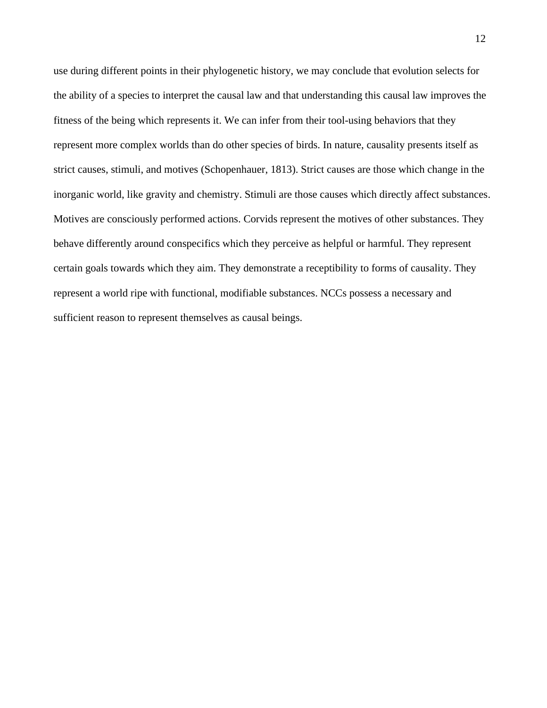use during different points in their phylogenetic history, we may conclude that evolution selects for the ability of a species to interpret the causal law and that understanding this causal law improves the fitness of the being which represents it. We can infer from their tool-using behaviors that they represent more complex worlds than do other species of birds. In nature, causality presents itself as strict causes, stimuli, and motives (Schopenhauer, 1813). Strict causes are those which change in the inorganic world, like gravity and chemistry. Stimuli are those causes which directly affect substances. Motives are consciously performed actions. Corvids represent the motives of other substances. They behave differently around conspecifics which they perceive as helpful or harmful. They represent certain goals towards which they aim. They demonstrate a receptibility to forms of causality. They represent a world ripe with functional, modifiable substances. NCCs possess a necessary and sufficient reason to represent themselves as causal beings.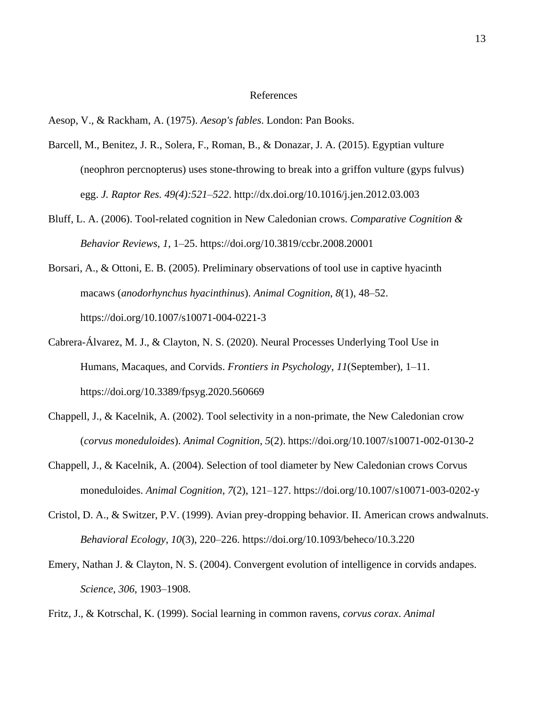## References

Aesop, V., & Rackham, A. (1975). *Aesop's fables*. London: Pan Books.

- Barcell, M., Benitez, J. R., Solera, F., Roman, B., & Donazar, J. A. (2015). Egyptian vulture (neophron percnopterus) uses stone-throwing to break into a griffon vulture (gyps fulvus) egg. *J. Raptor Res. 49(4):521–522*. <http://dx.doi.org/10.1016/j.jen.2012.03.003>
- Bluff, L. A. (2006). Tool-related cognition in New Caledonian crows. *Comparative Cognition & Behavior Reviews*, *1*, 1–25. https://doi.org/10.3819/ccbr.2008.20001
- Borsari, A., & Ottoni, E. B. (2005). Preliminary observations of tool use in captive hyacinth macaws (*anodorhynchus hyacinthinus*). *Animal Cognition*, *8*(1), 48–52. https://doi.org/10.1007/s10071-004-0221-3
- Cabrera-Álvarez, M. J., & Clayton, N. S. (2020). Neural Processes Underlying Tool Use in Humans, Macaques, and Corvids. *Frontiers in Psychology*, *11*(September), 1–11. https://doi.org/10.3389/fpsyg.2020.560669
- Chappell, J., & Kacelnik, A. (2002). Tool selectivity in a non-primate, the New Caledonian crow (*corvus moneduloides*). *Animal Cognition*, *5*(2). https://doi.org/10.1007/s10071-002-0130-2
- Chappell, J., & Kacelnik, A. (2004). Selection of tool diameter by New Caledonian crows Corvus moneduloides. *Animal Cognition*, *7*(2), 121–127. https://doi.org/10.1007/s10071-003-0202-y
- Cristol, D. A., & Switzer, P.V. (1999). Avian prey-dropping behavior. II. American crows andwalnuts. *Behavioral Ecology*, *10*(3), 220–226. https://doi.org/10.1093/beheco/10.3.220
- Emery, Nathan J. & Clayton, N. S. (2004). Convergent evolution of intelligence in corvids andapes. *Science, 306*, 1903–1908.
- Fritz, J., & Kotrschal, K. (1999). Social learning in common ravens, *corvus corax*. *Animal*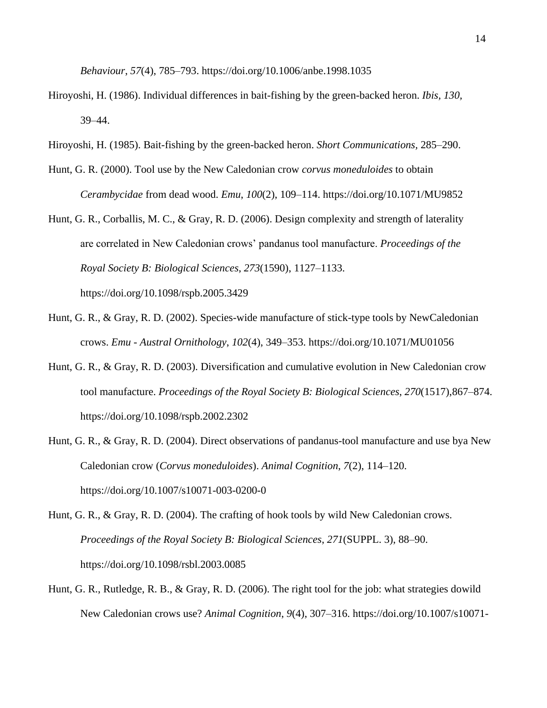*Behaviour*, *57*(4), 785–793. https://doi.org/10.1006/anbe.1998.1035

- Hiroyoshi, H. (1986). Individual differences in bait-fishing by the green-backed heron. *Ibis, 130,* 39–44.
- Hiroyoshi, H. (1985). Bait-fishing by the green-backed heron. *Short Communications,* 285–290.
- Hunt, G. R. (2000). Tool use by the New Caledonian crow *corvus moneduloides* to obtain *Cerambycidae* from dead wood. *Emu*, *100*(2), 109–114. https://doi.org/10.1071/MU9852
- Hunt, G. R., Corballis, M. C., & Gray, R. D. (2006). Design complexity and strength of laterality are correlated in New Caledonian crows' pandanus tool manufacture. *Proceedings of the Royal Society B: Biological Sciences*, *273*(1590), 1127–1133. https://doi.org/10.1098/rspb.2005.3429
- Hunt, G. R., & Gray, R. D. (2002). Species-wide manufacture of stick-type tools by NewCaledonian crows. *Emu - Austral Ornithology*, *102*(4), 349–353. https://doi.org/10.1071/MU01056
- Hunt, G. R., & Gray, R. D. (2003). Diversification and cumulative evolution in New Caledonian crow tool manufacture. *Proceedings of the Royal Society B: Biological Sciences*, *270*(1517),867–874. https://doi.org/10.1098/rspb.2002.2302
- Hunt, G. R., & Gray, R. D. (2004). Direct observations of pandanus-tool manufacture and use bya New Caledonian crow (*Corvus moneduloides*). *Animal Cognition*, *7*(2), 114–120. https://doi.org/10.1007/s10071-003-0200-0
- Hunt, G. R., & Gray, R. D. (2004). The crafting of hook tools by wild New Caledonian crows. *Proceedings of the Royal Society B: Biological Sciences*, *271*(SUPPL. 3), 88–90. https://doi.org/10.1098/rsbl.2003.0085
- Hunt, G. R., Rutledge, R. B., & Gray, R. D. (2006). The right tool for the job: what strategies dowild New Caledonian crows use? *Animal Cognition*, *9*(4), 307–316. https://doi.org/10.1007/s10071-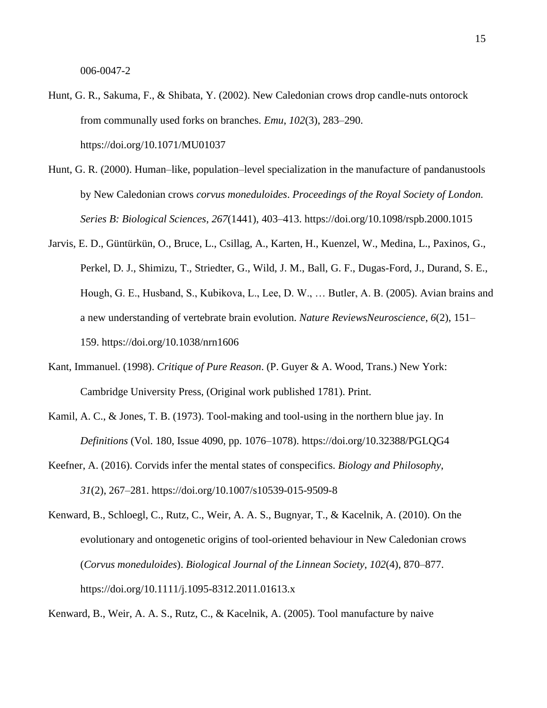006-0047-2

- Hunt, G. R., Sakuma, F., & Shibata, Y. (2002). New Caledonian crows drop candle-nuts ontorock from communally used forks on branches. *Emu*, *102*(3), 283–290. https://doi.org/10.1071/MU01037
- Hunt, G. R. (2000). Human–like, population–level specialization in the manufacture of pandanustools by New Caledonian crows *corvus moneduloides*. *Proceedings of the Royal Society of London. Series B: Biological Sciences*, *267*(1441), 403–413. https://doi.org/10.1098/rspb.2000.1015
- Jarvis, E. D., Güntürkün, O., Bruce, L., Csillag, A., Karten, H., Kuenzel, W., Medina, L., Paxinos, G., Perkel, D. J., Shimizu, T., Striedter, G., Wild, J. M., Ball, G. F., Dugas-Ford, J., Durand, S. E., Hough, G. E., Husband, S., Kubikova, L., Lee, D. W., … Butler, A. B. (2005). Avian brains and a new understanding of vertebrate brain evolution. *Nature ReviewsNeuroscience*, *6*(2), 151– 159. https://doi.org/10.1038/nrn1606
- Kant, Immanuel. (1998). *Critique of Pure Reason*. (P. Guyer & A. Wood, Trans.) New York: Cambridge University Press, (Original work published 1781). Print.
- Kamil, A. C., & Jones, T. B. (1973). Tool-making and tool-using in the northern blue jay. In *Definitions* (Vol. 180, Issue 4090, pp. 1076–1078). https://doi.org/10.32388/PGLQG4
- Keefner, A. (2016). Corvids infer the mental states of conspecifics. *Biology and Philosophy*, *31*(2), 267–281. https://doi.org/10.1007/s10539-015-9509-8
- Kenward, B., Schloegl, C., Rutz, C., Weir, A. A. S., Bugnyar, T., & Kacelnik, A. (2010). On the evolutionary and ontogenetic origins of tool-oriented behaviour in New Caledonian crows (*Corvus moneduloides*). *Biological Journal of the Linnean Society*, *102*(4), 870–877. https://doi.org/10.1111/j.1095-8312.2011.01613.x

Kenward, B., Weir, A. A. S., Rutz, C., & Kacelnik, A. (2005). Tool manufacture by naive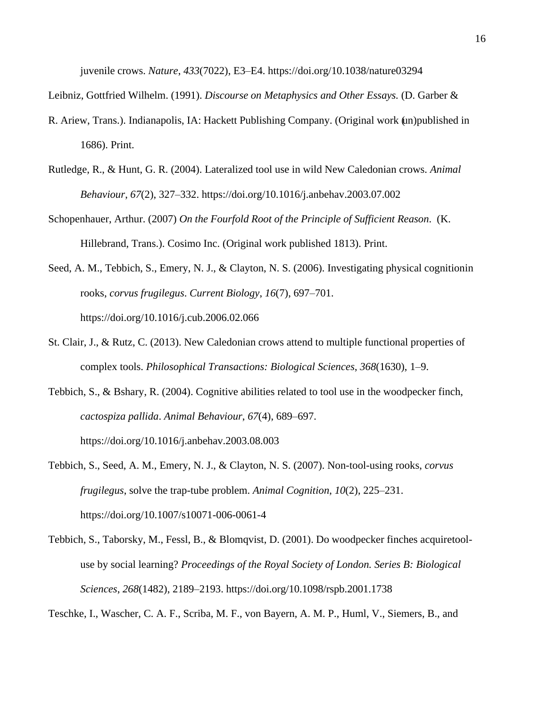juvenile crows. *Nature*, *433*(7022), E3–E4. https://doi.org/10.1038/nature03294

Leibniz, Gottfried Wilhelm. (1991). *Discourse on Metaphysics and Other Essays.* (D. Garber &

- R. Ariew, Trans.). Indianapolis, IA: Hackett Publishing Company. (Original work (un)published in 1686). Print.
- Rutledge, R., & Hunt, G. R. (2004). Lateralized tool use in wild New Caledonian crows. *Animal Behaviour*, *67*(2), 327–332. https://doi.org/10.1016/j.anbehav.2003.07.002
- Schopenhauer, Arthur. (2007) *On the Fourfold Root of the Principle of Sufficient Reason*. (K. Hillebrand, Trans.). Cosimo Inc. (Original work published 1813). Print.
- Seed, A. M., Tebbich, S., Emery, N. J., & Clayton, N. S. (2006). Investigating physical cognitionin rooks, *corvus frugilegus*. *Current Biology*, *16*(7), 697–701. https://doi.org/10.1016/j.cub.2006.02.066
- St. Clair, J., & Rutz, C. (2013). New Caledonian crows attend to multiple functional properties of complex tools. *Philosophical Transactions: Biological Sciences*, *368*(1630), 1–9.
- Tebbich, S., & Bshary, R. (2004). Cognitive abilities related to tool use in the woodpecker finch, *cactospiza pallida*. *Animal Behaviour*, *67*(4), 689–697. https://doi.org/10.1016/j.anbehav.2003.08.003
- Tebbich, S., Seed, A. M., Emery, N. J., & Clayton, N. S. (2007). Non-tool-using rooks, *corvus frugilegus*, solve the trap-tube problem. *Animal Cognition*, *10*(2), 225–231. https://doi.org/10.1007/s10071-006-0061-4
- Tebbich, S., Taborsky, M., Fessl, B., & Blomqvist, D. (2001). Do woodpecker finches acquiretooluse by social learning? *Proceedings of the Royal Society of London. Series B: Biological Sciences*, *268*(1482), 2189–2193. https://doi.org/10.1098/rspb.2001.1738

Teschke, I., Wascher, C. A. F., Scriba, M. F., von Bayern, A. M. P., Huml, V., Siemers, B., and